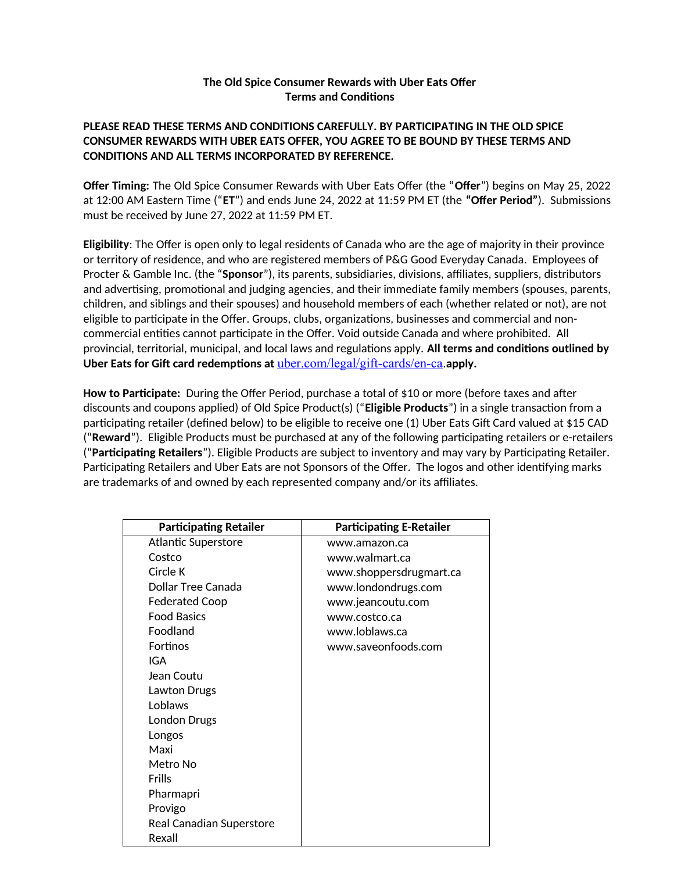## **The Old Spice Consumer Rewards with Uber Eats Offer Terms and Conditions**

## **PLEASE READ THESE TERMS AND CONDITIONS CAREFULLY. BY PARTICIPATING IN THE OLD SPICE CONSUMER REWARDS WITH UBER EATS OFFER, YOU AGREE TO BE BOUND BY THESE TERMS AND CONDITIONS AND ALL TERMS INCORPORATED BY REFERENCE.**

**Offer Timing:** The Old Spice Consumer Rewards with Uber Eats Offer (the "**Offer**") begins on May 25, 2022 at 12:00 AM Eastern Time ("**ET**") and ends June 24, 2022 at 11:59 PM ET (the **"Offer Period"**). Submissions must be received by June 27, 2022 at 11:59 PM ET.

**Eligibility**: The Offer is open only to legal residents of Canada who are the age of majority in their province or territory of residence, and who are registered members of P&G Good Everyday Canada. Employees of Procter & Gamble Inc. (the "**Sponsor**"), its parents, subsidiaries, divisions, affiliates, suppliers, distributors and advertising, promotional and judging agencies, and their immediate family members (spouses, parents, children, and siblings and their spouses) and household members of each (whether related or not), are not eligible to participate in the Offer. Groups, clubs, organizations, businesses and commercial and noncommercial entities cannot participate in the Offer. Void outside Canada and where prohibited. All provincial, territorial, municipal, and local laws and regulations apply. **All terms and conditions outlined by Uber Eats for Gift card redemptions at** uber.com/legal/gift-cards/en-ca.**apply.**

**How to Participate:** During the Offer Period, purchase a total of \$10 or more (before taxes and after discounts and coupons applied) of Old Spice Product(s) ("**Eligible Products**") in a single transaction from a participating retailer (defined below) to be eligible to receive one (1) Uber Eats Gift Card valued at \$15 CAD ("**Reward**"). Eligible Products must be purchased at any of the following participating retailers or e-retailers ("**Participating Retailers**"). Eligible Products are subject to inventory and may vary by Participating Retailer. Participating Retailers and Uber Eats are not Sponsors of the Offer. The logos and other identifying marks are trademarks of and owned by each represented company and/or its affiliates.

| <b>Participating Retailer</b> | <b>Participating E-Retailer</b> |
|-------------------------------|---------------------------------|
| Atlantic Superstore           | www.amazon.ca                   |
| Costco                        | www.walmart.ca                  |
| Circle K                      | www.shoppersdrugmart.ca         |
| Dollar Tree Canada            | www.londondrugs.com             |
| <b>Federated Coop</b>         | www.jeancoutu.com               |
| <b>Food Basics</b>            | www.costco.ca                   |
| Foodland                      | www.loblaws.ca                  |
| Fortinos                      | www.saveonfoods.com             |
| IGA                           |                                 |
| Jean Coutu                    |                                 |
| Lawton Drugs                  |                                 |
| <b>Loblaws</b>                |                                 |
| London Drugs                  |                                 |
| Longos                        |                                 |
| Maxi                          |                                 |
| Metro No                      |                                 |
| Frills                        |                                 |
| Pharmapri                     |                                 |
| Provigo                       |                                 |
| Real Canadian Superstore      |                                 |
| Rexall                        |                                 |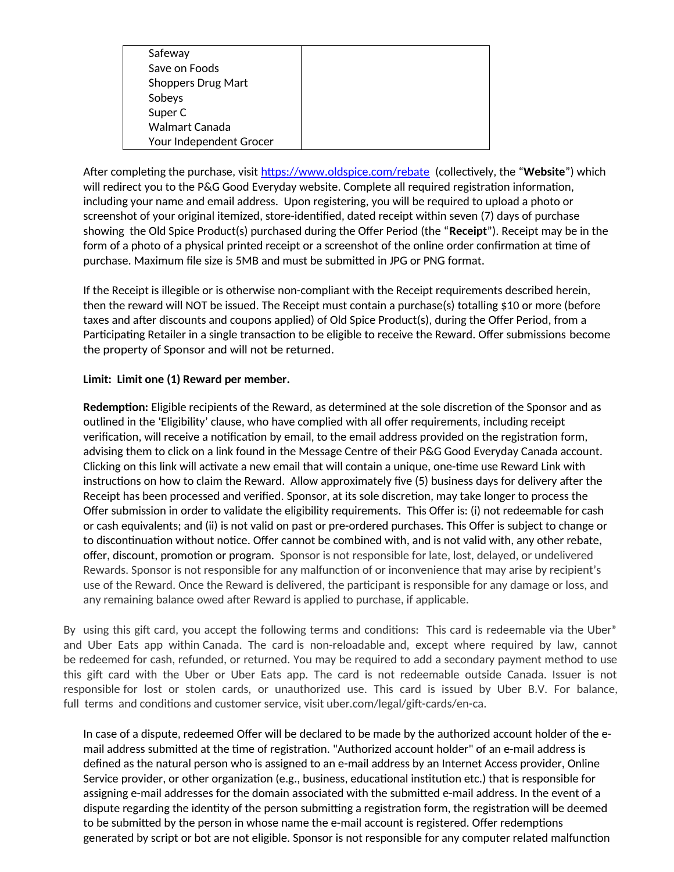| Safeway                   |  |
|---------------------------|--|
| Save on Foods             |  |
| <b>Shoppers Drug Mart</b> |  |
| Sobeys                    |  |
| Super C                   |  |
| Walmart Canada            |  |
| Your Independent Grocer   |  |

After completing the purchase, visit https://www.oldspice.com/rebate (collectively, the "**Website**") which will redirect you to the P&G Good Everyday website. Complete all required registration information, including your name and email address. Upon registering, you will be required to upload a photo or screenshot of your original itemized, store-identified, dated receipt within seven (7) days of purchase showing the Old Spice Product(s) purchased during the Offer Period (the "**Receipt**"). Receipt may be in the form of a photo of a physical printed receipt or a screenshot of the online order confirmation at time of purchase. Maximum file size is 5MB and must be submitted in JPG or PNG format.

If the Receipt is illegible or is otherwise non-compliant with the Receipt requirements described herein, then the reward will NOT be issued. The Receipt must contain a purchase(s) totalling \$10 or more (before taxes and after discounts and coupons applied) of Old Spice Product(s), during the Offer Period, from a Participating Retailer in a single transaction to be eligible to receive the Reward. Offer submissions become the property of Sponsor and will not be returned.

## **Limit: Limit one (1) Reward per member.**

**Redemption:** Eligible recipients of the Reward, as determined at the sole discretion of the Sponsor and as outlined in the 'Eligibility' clause, who have complied with all offer requirements, including receipt verification, will receive a notification by email, to the email address provided on the registration form, advising them to click on a link found in the Message Centre of their P&G Good Everyday Canada account. Clicking on this link will activate a new email that will contain a unique, one-time use Reward Link with instructions on how to claim the Reward. Allow approximately five (5) business days for delivery after the Receipt has been processed and verified. Sponsor, at its sole discretion, may take longer to process the Offer submission in order to validate the eligibility requirements. This Offer is: (i) not redeemable for cash or cash equivalents; and (ii) is not valid on past or pre-ordered purchases. This Offer is subject to change or to discontinuation without notice. Offer cannot be combined with, and is not valid with, any other rebate, offer, discount, promotion or program. Sponsor is not responsible for late, lost, delayed, or undelivered Rewards. Sponsor is not responsible for any malfunction of or inconvenience that may arise by recipient's use of the Reward. Once the Reward is delivered, the participant is responsible for any damage or loss, and any remaining balance owed after Reward is applied to purchase, if applicable.

By using this gift card, you accept the following terms and conditions: This card is redeemable via the Uber<sup>®</sup> and Uber Eats app within Canada. The card is non-reloadable and, except where required by law, cannot be redeemed for cash, refunded, or returned. You may be required to add a secondary payment method to use this gift card with the Uber or Uber Eats app. The card is not redeemable outside Canada. Issuer is not responsible for lost or stolen cards, or unauthorized use. This card is issued by Uber B.V. For balance, full terms and conditions and customer service, visit uber.com/legal/gift-cards/en-ca.

In case of a dispute, redeemed Offer will be declared to be made by the authorized account holder of the email address submitted at the time of registration. "Authorized account holder" of an e-mail address is defined as the natural person who is assigned to an e-mail address by an Internet Access provider, Online Service provider, or other organization (e.g., business, educational institution etc.) that is responsible for assigning e-mail addresses for the domain associated with the submitted e-mail address. In the event of a dispute regarding the identity of the person submitting a registration form, the registration will be deemed to be submitted by the person in whose name the e-mail account is registered. Offer redemptions generated by script or bot are not eligible. Sponsor is not responsible for any computer related malfunction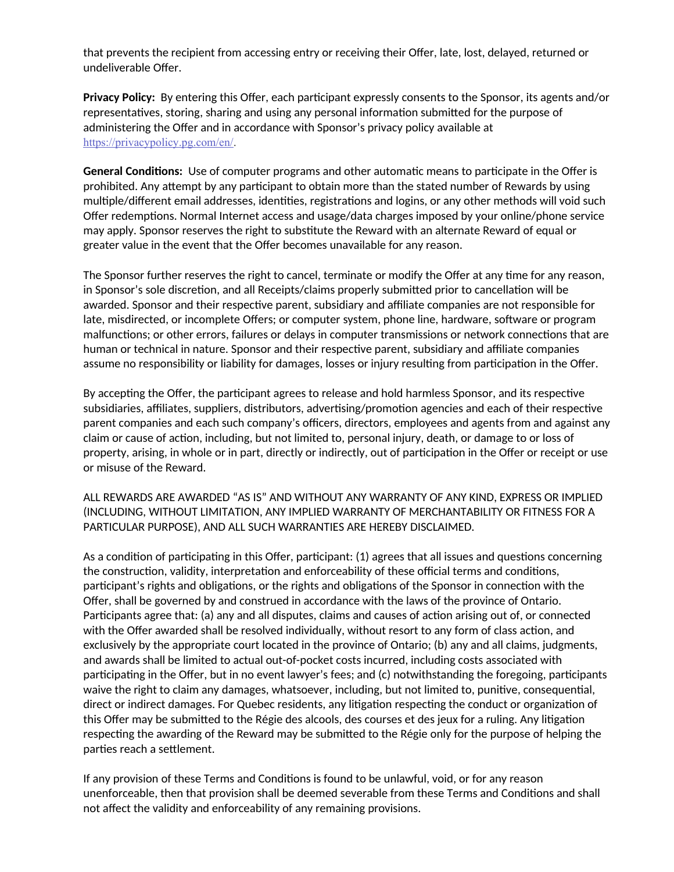that prevents the recipient from accessing entry or receiving their Offer, late, lost, delayed, returned or undeliverable Offer.

**Privacy Policy:** By entering this Offer, each participant expressly consents to the Sponsor, its agents and/or representatives, storing, sharing and using any personal information submitted for the purpose of administering the Offer and in accordance with Sponsor's privacy policy available at https://privacypolicy.pg.com/en/.

**General Conditions:** Use of computer programs and other automatic means to participate in the Offer is prohibited. Any attempt by any participant to obtain more than the stated number of Rewards by using multiple/different email addresses, identities, registrations and logins, or any other methods will void such Offer redemptions. Normal Internet access and usage/data charges imposed by your online/phone service may apply. Sponsor reserves the right to substitute the Reward with an alternate Reward of equal or greater value in the event that the Offer becomes unavailable for any reason.

The Sponsor further reserves the right to cancel, terminate or modify the Offer at any time for any reason, in Sponsor's sole discretion, and all Receipts/claims properly submitted prior to cancellation will be awarded. Sponsor and their respective parent, subsidiary and affiliate companies are not responsible for late, misdirected, or incomplete Offers; or computer system, phone line, hardware, software or program malfunctions; or other errors, failures or delays in computer transmissions or network connections that are human or technical in nature. Sponsor and their respective parent, subsidiary and affiliate companies assume no responsibility or liability for damages, losses or injury resulting from participation in the Offer.

By accepting the Offer, the participant agrees to release and hold harmless Sponsor, and its respective subsidiaries, affiliates, suppliers, distributors, advertising/promotion agencies and each of their respective parent companies and each such company's officers, directors, employees and agents from and against any claim or cause of action, including, but not limited to, personal injury, death, or damage to or loss of property, arising, in whole or in part, directly or indirectly, out of participation in the Offer or receipt or use or misuse of the Reward.

ALL REWARDS ARE AWARDED "AS IS" AND WITHOUT ANY WARRANTY OF ANY KIND, EXPRESS OR IMPLIED (INCLUDING, WITHOUT LIMITATION, ANY IMPLIED WARRANTY OF MERCHANTABILITY OR FITNESS FOR A PARTICULAR PURPOSE), AND ALL SUCH WARRANTIES ARE HEREBY DISCLAIMED.

As a condition of participating in this Offer, participant: (1) agrees that all issues and questions concerning the construction, validity, interpretation and enforceability of these official terms and conditions, participant's rights and obligations, or the rights and obligations of the Sponsor in connection with the Offer, shall be governed by and construed in accordance with the laws of the province of Ontario. Participants agree that: (a) any and all disputes, claims and causes of action arising out of, or connected with the Offer awarded shall be resolved individually, without resort to any form of class action, and exclusively by the appropriate court located in the province of Ontario; (b) any and all claims, judgments, and awards shall be limited to actual out-of-pocket costs incurred, including costs associated with participating in the Offer, but in no event lawyer's fees; and (c) notwithstanding the foregoing, participants waive the right to claim any damages, whatsoever, including, but not limited to, punitive, consequential, direct or indirect damages. For Quebec residents, any litigation respecting the conduct or organization of this Offer may be submitted to the Régie des alcools, des courses et des jeux for a ruling. Any litigation respecting the awarding of the Reward may be submitted to the Régie only for the purpose of helping the parties reach a settlement.

If any provision of these Terms and Conditions is found to be unlawful, void, or for any reason unenforceable, then that provision shall be deemed severable from these Terms and Conditions and shall not affect the validity and enforceability of any remaining provisions.